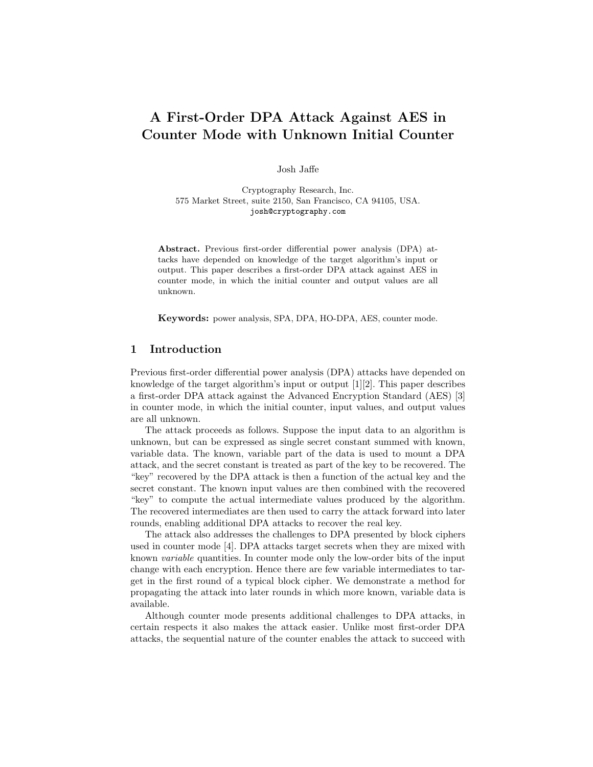# A First-Order DPA Attack Against AES in Counter Mode with Unknown Initial Counter

Josh Jaffe

Cryptography Research, Inc. 575 Market Street, suite 2150, San Francisco, CA 94105, USA. josh@cryptography.com

Abstract. Previous first-order differential power analysis (DPA) attacks have depended on knowledge of the target algorithm's input or output. This paper describes a first-order DPA attack against AES in counter mode, in which the initial counter and output values are all unknown.

Keywords: power analysis, SPA, DPA, HO-DPA, AES, counter mode.

## 1 Introduction

Previous first-order differential power analysis (DPA) attacks have depended on knowledge of the target algorithm's input or output [1][2]. This paper describes a first-order DPA attack against the Advanced Encryption Standard (AES) [3] in counter mode, in which the initial counter, input values, and output values are all unknown.

The attack proceeds as follows. Suppose the input data to an algorithm is unknown, but can be expressed as single secret constant summed with known, variable data. The known, variable part of the data is used to mount a DPA attack, and the secret constant is treated as part of the key to be recovered. The "key" recovered by the DPA attack is then a function of the actual key and the secret constant. The known input values are then combined with the recovered "key" to compute the actual intermediate values produced by the algorithm. The recovered intermediates are then used to carry the attack forward into later rounds, enabling additional DPA attacks to recover the real key.

The attack also addresses the challenges to DPA presented by block ciphers used in counter mode [4]. DPA attacks target secrets when they are mixed with known variable quantities. In counter mode only the low-order bits of the input change with each encryption. Hence there are few variable intermediates to target in the first round of a typical block cipher. We demonstrate a method for propagating the attack into later rounds in which more known, variable data is available.

Although counter mode presents additional challenges to DPA attacks, in certain respects it also makes the attack easier. Unlike most first-order DPA attacks, the sequential nature of the counter enables the attack to succeed with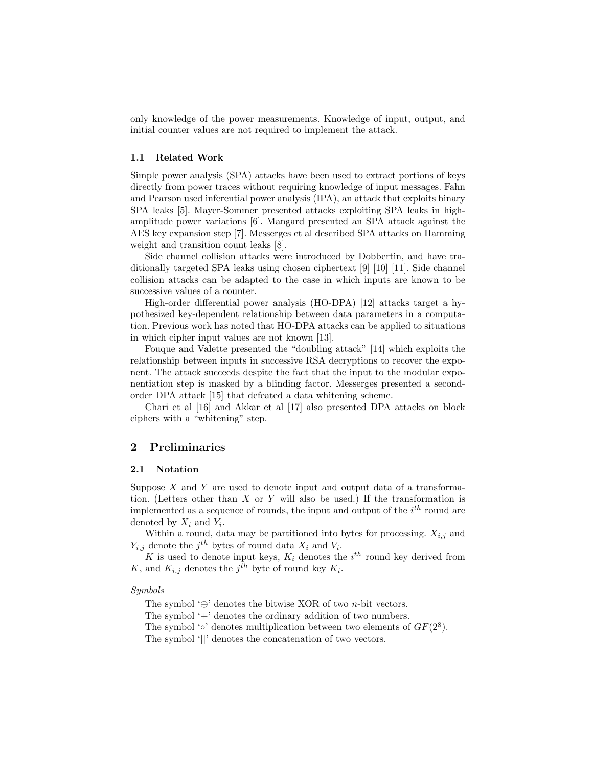only knowledge of the power measurements. Knowledge of input, output, and initial counter values are not required to implement the attack.

### 1.1 Related Work

Simple power analysis (SPA) attacks have been used to extract portions of keys directly from power traces without requiring knowledge of input messages. Fahn and Pearson used inferential power analysis (IPA), an attack that exploits binary SPA leaks [5]. Mayer-Sommer presented attacks exploiting SPA leaks in highamplitude power variations [6]. Mangard presented an SPA attack against the AES key expansion step [7]. Messerges et al described SPA attacks on Hamming weight and transition count leaks [8].

Side channel collision attacks were introduced by Dobbertin, and have traditionally targeted SPA leaks using chosen ciphertext [9] [10] [11]. Side channel collision attacks can be adapted to the case in which inputs are known to be successive values of a counter.

High-order differential power analysis (HO-DPA) [12] attacks target a hypothesized key-dependent relationship between data parameters in a computation. Previous work has noted that HO-DPA attacks can be applied to situations in which cipher input values are not known [13].

Fouque and Valette presented the "doubling attack" [14] which exploits the relationship between inputs in successive RSA decryptions to recover the exponent. The attack succeeds despite the fact that the input to the modular exponentiation step is masked by a blinding factor. Messerges presented a secondorder DPA attack [15] that defeated a data whitening scheme.

Chari et al [16] and Akkar et al [17] also presented DPA attacks on block ciphers with a "whitening" step.

## 2 Preliminaries

#### 2.1 Notation

Suppose  $X$  and  $Y$  are used to denote input and output data of a transformation. (Letters other than  $X$  or  $Y$  will also be used.) If the transformation is implemented as a sequence of rounds, the input and output of the  $i^{th}$  round are denoted by  $X_i$  and  $Y_i$ .

Within a round, data may be partitioned into bytes for processing.  $X_{i,j}$  and  $Y_{i,j}$  denote the  $j^{th}$  bytes of round data  $X_i$  and  $V_i$ .

K is used to denote input keys,  $K_i$  denotes the  $i^{th}$  round key derived from K, and  $K_{i,j}$  denotes the  $j^{th}$  byte of round key  $K_i$ .

#### Symbols

The symbol '⊕' denotes the bitwise XOR of two *n*-bit vectors.

The symbol '+' denotes the ordinary addition of two numbers.

The symbol ' $\circ$ ' denotes multiplication between two elements of  $GF(2^8)$ .

The symbol '||' denotes the concatenation of two vectors.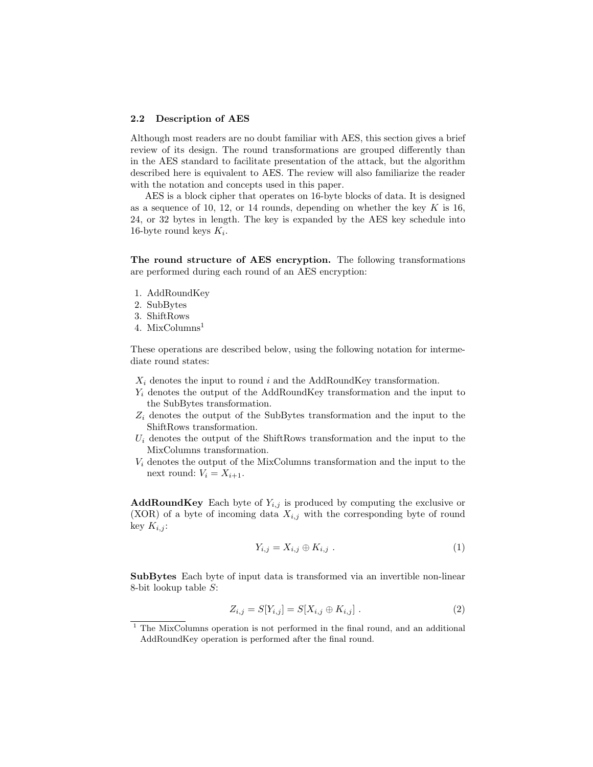#### 2.2 Description of AES

Although most readers are no doubt familiar with AES, this section gives a brief review of its design. The round transformations are grouped differently than in the AES standard to facilitate presentation of the attack, but the algorithm described here is equivalent to AES. The review will also familiarize the reader with the notation and concepts used in this paper.

AES is a block cipher that operates on 16-byte blocks of data. It is designed as a sequence of 10, 12, or 14 rounds, depending on whether the key  $K$  is 16, 24, or 32 bytes in length. The key is expanded by the AES key schedule into 16-byte round keys  $K_i$ .

The round structure of AES encryption. The following transformations are performed during each round of an AES encryption:

- 1. AddRoundKey
- 2. SubBytes
- 3. ShiftRows
- 4. MixColumns<sup>1</sup>

These operations are described below, using the following notation for intermediate round states:

 $X_i$  denotes the input to round i and the AddRoundKey transformation.

- $Y_i$  denotes the output of the AddRoundKey transformation and the input to the SubBytes transformation.
- $Z_i$  denotes the output of the SubBytes transformation and the input to the ShiftRows transformation.
- $U_i$  denotes the output of the ShiftRows transformation and the input to the MixColumns transformation.
- $V_i$  denotes the output of the MixColumns transformation and the input to the next round:  $V_i = X_{i+1}$ .

AddRoundKey Each byte of  $Y_{i,j}$  is produced by computing the exclusive or (XOR) of a byte of incoming data  $X_{i,j}$  with the corresponding byte of round key  $K_{i,j}$ :

$$
Y_{i,j} = X_{i,j} \oplus K_{i,j} . \tag{1}
$$

SubBytes Each byte of input data is transformed via an invertible non-linear 8-bit lookup table S:

$$
Z_{i,j} = S[Y_{i,j}] = S[X_{i,j} \oplus K_{i,j}].
$$
\n(2)

<sup>&</sup>lt;sup>1</sup> The MixColumns operation is not performed in the final round, and an additional AddRoundKey operation is performed after the final round.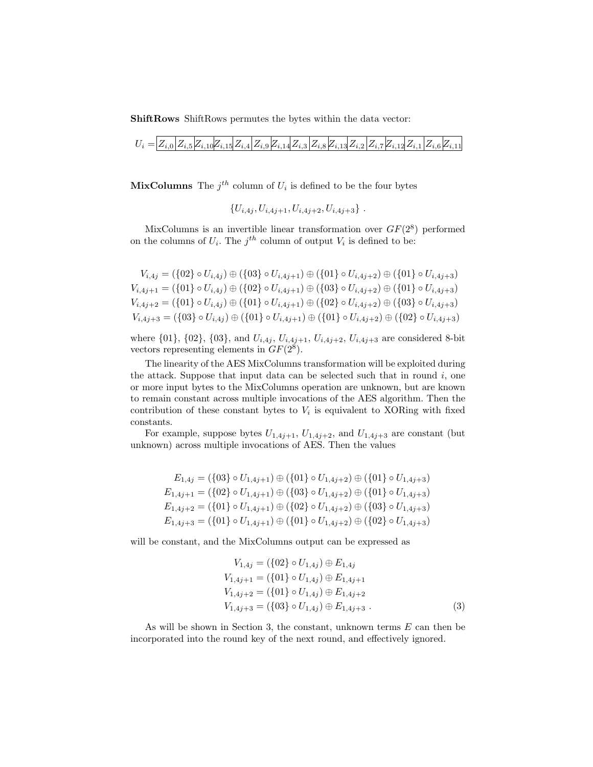ShiftRows ShiftRows permutes the bytes within the data vector:



MixColumns The  $j^{th}$  column of  $U_i$  is defined to be the four bytes

$$
\{U_{i,4j}, U_{i,4j+1}, U_{i,4j+2}, U_{i,4j+3}\}.
$$

MixColumns is an invertible linear transformation over  $GF(2<sup>8</sup>)$  performed on the columns of  $U_i$ . The  $j<sup>th</sup>$  column of output  $V_i$  is defined to be:

$$
V_{i,4j} = (\{02\} \circ U_{i,4j}) \oplus (\{03\} \circ U_{i,4j+1}) \oplus (\{01\} \circ U_{i,4j+2}) \oplus (\{01\} \circ U_{i,4j+3})
$$
  
\n
$$
V_{i,4j+1} = (\{01\} \circ U_{i,4j}) \oplus (\{02\} \circ U_{i,4j+1}) \oplus (\{03\} \circ U_{i,4j+2}) \oplus (\{01\} \circ U_{i,4j+3})
$$
  
\n
$$
V_{i,4j+2} = (\{01\} \circ U_{i,4j}) \oplus (\{01\} \circ U_{i,4j+1}) \oplus (\{02\} \circ U_{i,4j+2}) \oplus (\{03\} \circ U_{i,4j+3})
$$
  
\n
$$
V_{i,4j+3} = (\{03\} \circ U_{i,4j}) \oplus (\{01\} \circ U_{i,4j+1}) \oplus (\{01\} \circ U_{i,4j+2}) \oplus (\{02\} \circ U_{i,4j+3})
$$

where  $\{01\}$ ,  $\{02\}$ ,  $\{03\}$ , and  $U_{i,4j}$ ,  $U_{i,4j+1}$ ,  $U_{i,4j+2}$ ,  $U_{i,4j+3}$  are considered 8-bit vectors representing elements in  $GF(2^8)$ .

The linearity of the AES MixColumns transformation will be exploited during the attack. Suppose that input data can be selected such that in round  $i$ , one or more input bytes to the MixColumns operation are unknown, but are known to remain constant across multiple invocations of the AES algorithm. Then the contribution of these constant bytes to  $V_i$  is equivalent to XORing with fixed constants.

For example, suppose bytes  $U_{1,4j+1}$ ,  $U_{1,4j+2}$ , and  $U_{1,4j+3}$  are constant (but unknown) across multiple invocations of AES. Then the values

$$
E_{1,4j} = (\{03\} \circ U_{1,4j+1}) \oplus (\{01\} \circ U_{1,4j+2}) \oplus (\{01\} \circ U_{1,4j+3})
$$
  
\n
$$
E_{1,4j+1} = (\{02\} \circ U_{1,4j+1}) \oplus (\{03\} \circ U_{1,4j+2}) \oplus (\{01\} \circ U_{1,4j+3})
$$
  
\n
$$
E_{1,4j+2} = (\{01\} \circ U_{1,4j+1}) \oplus (\{02\} \circ U_{1,4j+2}) \oplus (\{03\} \circ U_{1,4j+3})
$$
  
\n
$$
E_{1,4j+3} = (\{01\} \circ U_{1,4j+1}) \oplus (\{01\} \circ U_{1,4j+2}) \oplus (\{02\} \circ U_{1,4j+3})
$$

will be constant, and the MixColumns output can be expressed as

$$
V_{1,4j} = (\{02\} \circ U_{1,4j}) \oplus E_{1,4j}
$$
  
\n
$$
V_{1,4j+1} = (\{01\} \circ U_{1,4j}) \oplus E_{1,4j+1}
$$
  
\n
$$
V_{1,4j+2} = (\{01\} \circ U_{1,4j}) \oplus E_{1,4j+2}
$$
  
\n
$$
V_{1,4j+3} = (\{03\} \circ U_{1,4j}) \oplus E_{1,4j+3}.
$$
  
\n(3)

As will be shown in Section 3, the constant, unknown terms  $E$  can then be incorporated into the round key of the next round, and effectively ignored.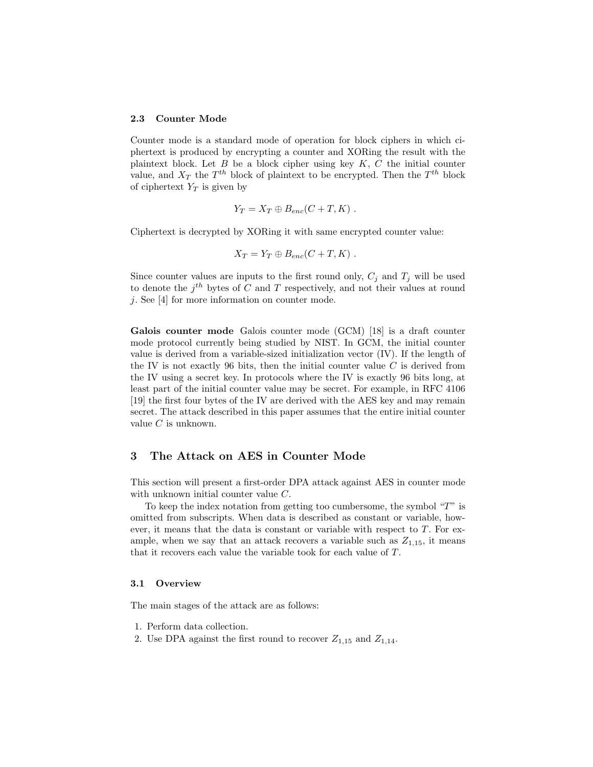#### 2.3 Counter Mode

Counter mode is a standard mode of operation for block ciphers in which ciphertext is produced by encrypting a counter and XORing the result with the plaintext block. Let  $B$  be a block cipher using key  $K, C$  the initial counter value, and  $X_T$  the  $T^{th}$  block of plaintext to be encrypted. Then the  $T^{th}$  block of ciphertext  $Y_T$  is given by

$$
Y_T = X_T \oplus B_{enc}(C + T, K) .
$$

Ciphertext is decrypted by XORing it with same encrypted counter value:

$$
X_T = Y_T \oplus B_{enc}(C + T, K) .
$$

Since counter values are inputs to the first round only,  $C_j$  and  $T_j$  will be used to denote the  $j<sup>th</sup>$  bytes of C and T respectively, and not their values at round j. See [4] for more information on counter mode.

Galois counter mode Galois counter mode (GCM) [18] is a draft counter mode protocol currently being studied by NIST. In GCM, the initial counter value is derived from a variable-sized initialization vector (IV). If the length of the IV is not exactly 96 bits, then the initial counter value  $C$  is derived from the IV using a secret key. In protocols where the IV is exactly 96 bits long, at least part of the initial counter value may be secret. For example, in RFC 4106 [19] the first four bytes of the IV are derived with the AES key and may remain secret. The attack described in this paper assumes that the entire initial counter value  $C$  is unknown.

## 3 The Attack on AES in Counter Mode

This section will present a first-order DPA attack against AES in counter mode with unknown initial counter value C.

To keep the index notation from getting too cumbersome, the symbol  $T$ " is omitted from subscripts. When data is described as constant or variable, however, it means that the data is constant or variable with respect to  $T$ . For example, when we say that an attack recovers a variable such as  $Z_{1,15}$ , it means that it recovers each value the variable took for each value of T.

#### 3.1 Overview

The main stages of the attack are as follows:

- 1. Perform data collection.
- 2. Use DPA against the first round to recover  $Z_{1,15}$  and  $Z_{1,14}$ .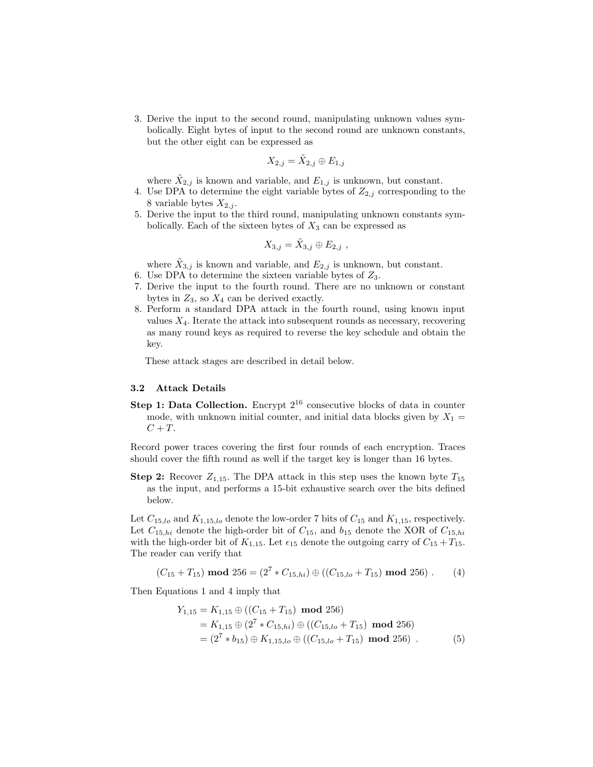3. Derive the input to the second round, manipulating unknown values symbolically. Eight bytes of input to the second round are unknown constants, but the other eight can be expressed as

$$
X_{2,j} = \tilde{X}_{2,j} \oplus E_{1,j}
$$

where  $\tilde{X}_{2,j}$  is known and variable, and  $E_{1,j}$  is unknown, but constant.

- 4. Use DPA to determine the eight variable bytes of  $Z_{2,j}$  corresponding to the 8 variable bytes  $X_{2,j}$ .
- 5. Derive the input to the third round, manipulating unknown constants symbolically. Each of the sixteen bytes of  $X_3$  can be expressed as

$$
X_{3,j}=\tilde X_{3,j}\oplus E_{2,j}\;,
$$

where  $\tilde{X}_{3,j}$  is known and variable, and  $E_{2,j}$  is unknown, but constant.

- 6. Use DPA to determine the sixteen variable bytes of  $Z_3$ .
- 7. Derive the input to the fourth round. There are no unknown or constant bytes in  $Z_3$ , so  $X_4$  can be derived exactly.
- 8. Perform a standard DPA attack in the fourth round, using known input values  $X_4$ . Iterate the attack into subsequent rounds as necessary, recovering as many round keys as required to reverse the key schedule and obtain the key.

These attack stages are described in detail below.

### 3.2 Attack Details

Step 1: Data Collection. Encrypt  $2^{16}$  consecutive blocks of data in counter mode, with unknown initial counter, and initial data blocks given by  $X_1 =$  $C + T$ .

Record power traces covering the first four rounds of each encryption. Traces should cover the fifth round as well if the target key is longer than 16 bytes.

**Step 2:** Recover  $Z_{1,15}$ . The DPA attack in this step uses the known byte  $T_{15}$ as the input, and performs a 15-bit exhaustive search over the bits defined below.

Let  $C_{15,lo}$  and  $K_{1,15,lo}$  denote the low-order 7 bits of  $C_{15}$  and  $K_{1,15}$ , respectively. Let  $C_{15,hi}$  denote the high-order bit of  $C_{15}$ , and  $b_{15}$  denote the XOR of  $C_{15,hi}$ with the high-order bit of  $K_{1,15}$ . Let  $\epsilon_{15}$  denote the outgoing carry of  $C_{15} + T_{15}$ . The reader can verify that

$$
(C_{15} + T_{15}) \bmod 256 = (2^7 * C_{15,hi}) \oplus ((C_{15,lo} + T_{15}) \bmod 256) .
$$
 (4)

Then Equations 1 and 4 imply that

$$
Y_{1,15} = K_{1,15} \oplus ((C_{15} + T_{15}) \mod 256)
$$
  
=  $K_{1,15} \oplus (2^7 * C_{15,hi}) \oplus ((C_{15,lo} + T_{15}) \mod 256)$   
=  $(2^7 * b_{15}) \oplus K_{1,15,lo} \oplus ((C_{15,lo} + T_{15}) \mod 256)$ . (5)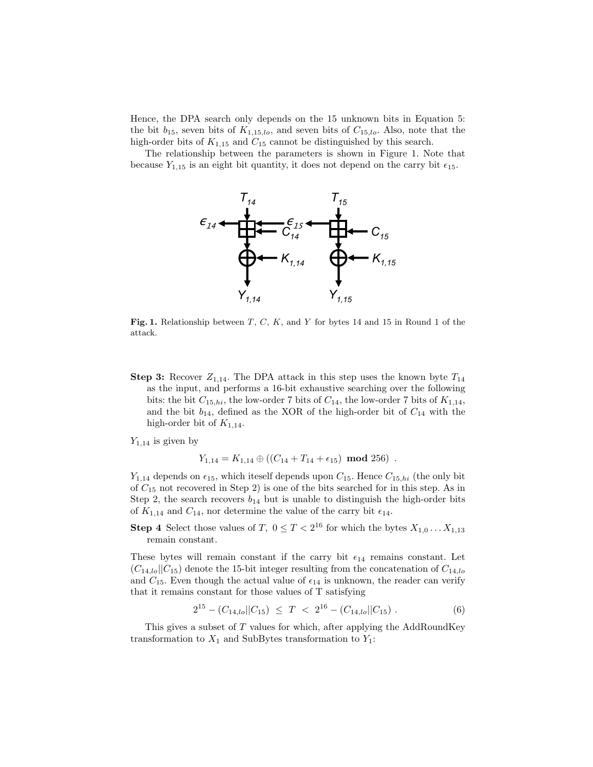Hence, the DPA search only depends on the 15 unknown bits in Equation 5: the bit  $b_{15}$ , seven bits of  $K_{1,15,lo}$ , and seven bits of  $C_{15,lo}$ . Also, note that the high-order bits of  $K_{1,15}$  and  $C_{15}$  cannot be distinguished by this search.

The relationship between the parameters is shown in Figure 1. Note that because  $Y_{1,15}$  is an eight bit quantity, it does not depend on the carry bit  $\epsilon_{15}$ .



Fig. 1. Relationship between  $T, C, K$ , and  $Y$  for bytes 14 and 15 in Round 1 of the attack.

**Step 3:** Recover  $Z_{1,14}$ . The DPA attack in this step uses the known byte  $T_{14}$ as the input, and performs a 16-bit exhaustive searching over the following bits: the bit  $C_{15,hi}$ , the low-order 7 bits of  $C_{14}$ , the low-order 7 bits of  $K_{1,14}$ , and the bit  $b_{14}$ , defined as the XOR of the high-order bit of  $C_{14}$  with the high-order bit of  $K_{1,14}$ .

 $Y_{1,14}$  is given by

$$
Y_{1,14} = K_{1,14} \oplus ((C_{14} + T_{14} + \epsilon_{15}) \mod 256) .
$$

 $Y_{1,14}$  depends on  $\epsilon_{15}$ , which iteself depends upon  $C_{15}$ . Hence  $C_{15,hi}$  (the only bit of  $C_{15}$  not recovered in Step 2) is one of the bits searched for in this step. As in Step 2, the search recovers  $b_{14}$  but is unable to distinguish the high-order bits of  $K_{1,14}$  and  $C_{14}$ , nor determine the value of the carry bit  $\epsilon_{14}$ .

**Step 4** Select those values of T,  $0 \leq T < 2^{16}$  for which the bytes  $X_{1,0} \dots X_{1,13}$ remain constant.

These bytes will remain constant if the carry bit  $\epsilon_{14}$  remains constant. Let  $(C_{14,lo}||C_{15})$  denote the 15-bit integer resulting from the concatenation of  $C_{14,lo}$ and  $C_{15}$ . Even though the actual value of  $\epsilon_{14}$  is unknown, the reader can verify that it remains constant for those values of T satisfying

$$
2^{15} - (C_{14,lo}||C_{15}) \leq T < 2^{16} - (C_{14,lo}||C_{15}). \tag{6}
$$

This gives a subset of T values for which, after applying the AddRoundKey transformation to  $X_1$  and SubBytes transformation to  $Y_1$ :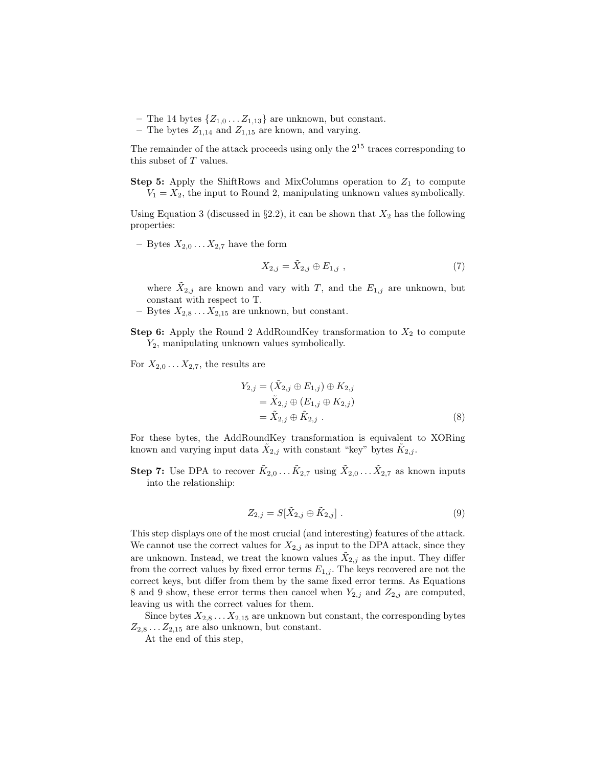- The 14 bytes  $\{Z_{1,0} \ldots Z_{1,13}\}$  are unknown, but constant.
- The bytes  $Z_{1,14}$  and  $Z_{1,15}$  are known, and varying.

The remainder of the attack proceeds using only the 2<sup>15</sup> traces corresponding to this subset of T values.

**Step 5:** Apply the ShiftRows and MixColumns operation to  $Z_1$  to compute  $V_1 = X_2$ , the input to Round 2, manipulating unknown values symbolically.

Using Equation 3 (discussed in  $\S 2.2$ ), it can be shown that  $X_2$  has the following properties:

– Bytes  $X_{2,0} \ldots X_{2,7}$  have the form

$$
X_{2,j} = \tilde{X}_{2,j} \oplus E_{1,j} \t{,} \t(7)
$$

where  $\tilde{X}_{2,j}$  are known and vary with T, and the  $E_{1,j}$  are unknown, but constant with respect to T.

- Bytes  $X_{2,8} \ldots X_{2,15}$  are unknown, but constant.
- **Step 6:** Apply the Round 2 AddRoundKey transformation to  $X_2$  to compute Y2, manipulating unknown values symbolically.
- For  $X_{2,0} \ldots X_{2,7}$ , the results are

$$
Y_{2,j} = (\tilde{X}_{2,j} \oplus E_{1,j}) \oplus K_{2,j}
$$
  
=  $\tilde{X}_{2,j} \oplus (E_{1,j} \oplus K_{2,j})$   
=  $\tilde{X}_{2,j} \oplus \tilde{K}_{2,j}$ . (8)

For these bytes, the AddRoundKey transformation is equivalent to XORing known and varying input data  $\tilde{X}_{2,j}$  with constant "key" bytes  $\tilde{K}_{2,j}$ .

Step 7: Use DPA to recover  $\tilde{K}_{2,0} \ldots \tilde{K}_{2,7}$  using  $\tilde{X}_{2,0} \ldots \tilde{X}_{2,7}$  as known inputs into the relationship:

$$
Z_{2,j} = S[\tilde{X}_{2,j} \oplus \tilde{K}_{2,j}].
$$
\n(9)

This step displays one of the most crucial (and interesting) features of the attack. We cannot use the correct values for  $X_{2,j}$  as input to the DPA attack, since they are unknown. Instead, we treat the known values  $\tilde{X}_{2,j}$  as the input. They differ from the correct values by fixed error terms  $E_{1,j}$ . The keys recovered are not the correct keys, but differ from them by the same fixed error terms. As Equations 8 and 9 show, these error terms then cancel when  $Y_{2,j}$  and  $Z_{2,j}$  are computed, leaving us with the correct values for them.

Since bytes  $X_{2,8} \ldots X_{2,15}$  are unknown but constant, the corresponding bytes  $Z_{2,8} \ldots Z_{2,15}$  are also unknown, but constant.

At the end of this step,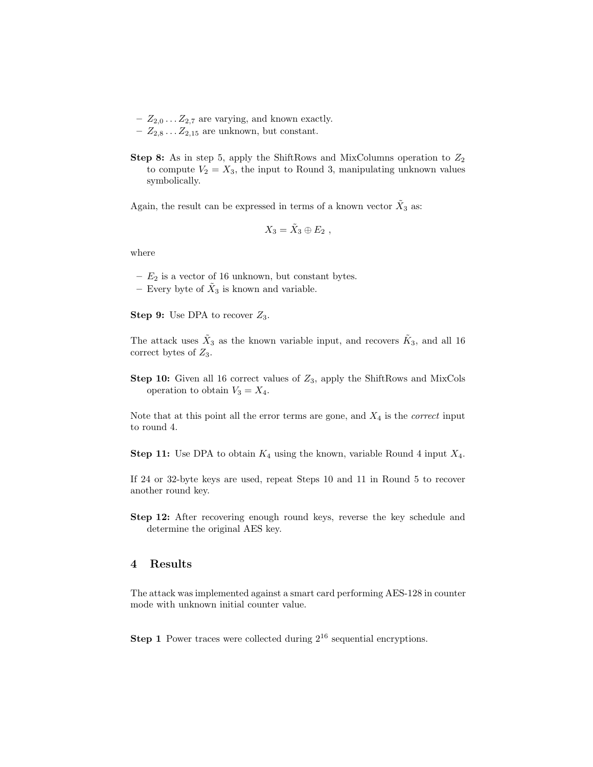–  $Z_{2,0} \ldots Z_{2,7}$  are varying, and known exactly.

–  $Z_{2,8} \ldots Z_{2,15}$  are unknown, but constant.

**Step 8:** As in step 5, apply the ShiftRows and MixColumns operation to  $Z_2$ to compute  $V_2 = X_3$ , the input to Round 3, manipulating unknown values symbolically.

Again, the result can be expressed in terms of a known vector  $\tilde{X}_3$  as:

$$
X_3=\tilde{X}_3\oplus E_2 ,
$$

where

- $E_2$  is a vector of 16 unknown, but constant bytes.
- Every byte of  $\tilde{X}_3$  is known and variable.

**Step 9:** Use DPA to recover  $Z_3$ .

The attack uses  $\tilde{X}_3$  as the known variable input, and recovers  $\tilde{K}_3$ , and all 16 correct bytes of  $Z_3$ .

**Step 10:** Given all 16 correct values of  $Z_3$ , apply the ShiftRows and MixCols operation to obtain  $V_3 = X_4$ .

Note that at this point all the error terms are gone, and  $X_4$  is the *correct* input to round 4.

**Step 11:** Use DPA to obtain  $K_4$  using the known, variable Round 4 input  $X_4$ .

If 24 or 32-byte keys are used, repeat Steps 10 and 11 in Round 5 to recover another round key.

Step 12: After recovering enough round keys, reverse the key schedule and determine the original AES key.

## 4 Results

The attack was implemented against a smart card performing AES-128 in counter mode with unknown initial counter value.

**Step 1** Power traces were collected during  $2^{16}$  sequential encryptions.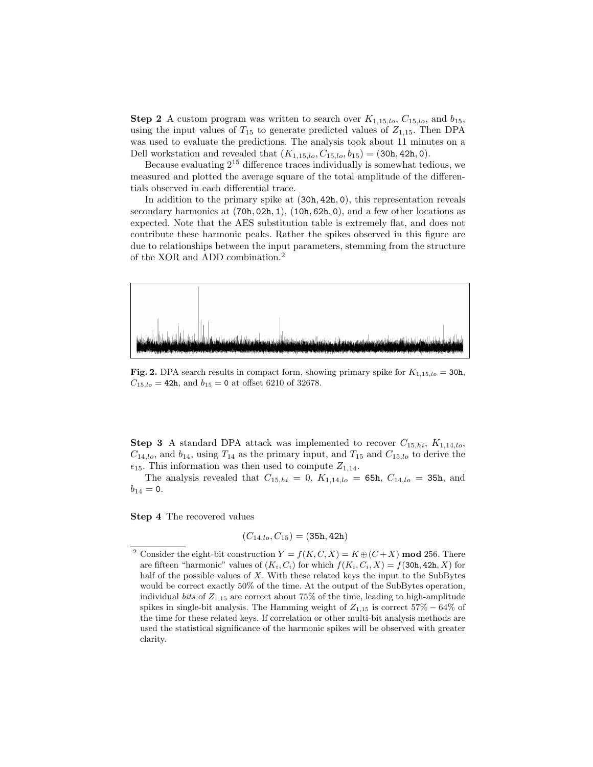**Step 2** A custom program was written to search over  $K_{1,15,lo}$ ,  $C_{15,lo}$ , and  $b_{15}$ , using the input values of  $T_{15}$  to generate predicted values of  $Z_{1,15}$ . Then DPA was used to evaluate the predictions. The analysis took about 11 minutes on a Dell workstation and revealed that  $(K_{1,15,lo}, C_{15,lo}, b_{15}) = (30h, 42h, 0)$ .

Because evaluating 2<sup>15</sup> difference traces individually is somewhat tedious, we measured and plotted the average square of the total amplitude of the differentials observed in each differential trace.

In addition to the primary spike at (30h, 42h, 0), this representation reveals secondary harmonics at  $(70h, 02h, 1)$ ,  $(10h, 62h, 0)$ , and a few other locations as expected. Note that the AES substitution table is extremely flat, and does not contribute these harmonic peaks. Rather the spikes observed in this figure are due to relationships between the input parameters, stemming from the structure of the XOR and ADD combination.<sup>2</sup>



Fig. 2. DPA search results in compact form, showing primary spike for  $K_{1,15,lo} = 30h$ ,  $C_{15,lo} = 42h$ , and  $b_{15} = 0$  at offset 6210 of 32678.

**Step 3** A standard DPA attack was implemented to recover  $C_{15,hi}$ ,  $K_{1,14,lo}$ ,  $C_{14,lo}$ , and  $b_{14}$ , using  $T_{14}$  as the primary input, and  $T_{15}$  and  $C_{15,lo}$  to derive the  $\epsilon_{15}$ . This information was then used to compute  $Z_{1,14}$ .

The analysis revealed that  $C_{15,hi} = 0$ ,  $K_{1,14,lo} = 65h$ ,  $C_{14,lo} = 35h$ , and  $b_{14} = 0.$ 

Step 4 The recovered values

$$
(C_{14,lo}, C_{15}) = (35h, 42h)
$$

<sup>&</sup>lt;sup>2</sup> Consider the eight-bit construction  $Y = f(K, C, X) = K \oplus (C + X) \text{ mod } 256$ . There are fifteen "harmonic" values of  $(K_i, C_i)$  for which  $f(K_i, C_i, X) = f(30h, 42h, X)$  for half of the possible values of  $X$ . With these related keys the input to the SubBytes would be correct exactly 50% of the time. At the output of the SubBytes operation, individual bits of  $Z_{1,15}$  are correct about 75% of the time, leading to high-amplitude spikes in single-bit analysis. The Hamming weight of  $Z_{1,15}$  is correct 57% – 64% of the time for these related keys. If correlation or other multi-bit analysis methods are used the statistical significance of the harmonic spikes will be observed with greater clarity.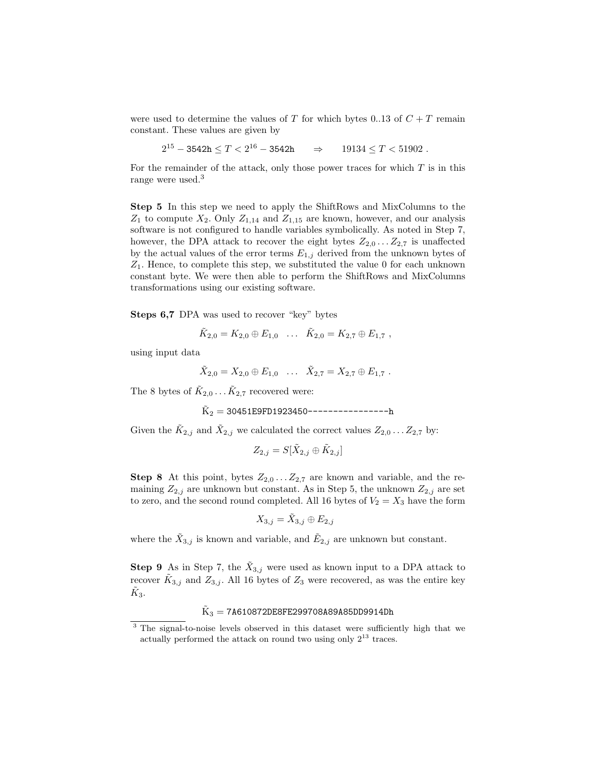were used to determine the values of T for which bytes 0..13 of  $C + T$  remain constant. These values are given by

$$
2^{15} - 3542 \text{h} \le T < 2^{16} - 3542 \text{h} \qquad \Rightarrow \qquad 19134 \le T < 51902 \ .
$$

For the remainder of the attack, only those power traces for which  $T$  is in this range were used.<sup>3</sup>

Step 5 In this step we need to apply the ShiftRows and MixColumns to the  $Z_1$  to compute  $X_2$ . Only  $Z_{1,14}$  and  $Z_{1,15}$  are known, however, and our analysis software is not configured to handle variables symbolically. As noted in Step 7, however, the DPA attack to recover the eight bytes  $Z_{2,0} \ldots Z_{2,7}$  is unaffected by the actual values of the error terms  $E_{1,j}$  derived from the unknown bytes of  $Z_1$ . Hence, to complete this step, we substituted the value 0 for each unknown constant byte. We were then able to perform the ShiftRows and MixColumns transformations using our existing software.

Steps 6,7 DPA was used to recover "key" bytes

$$
\tilde{K}_{2,0} = K_{2,0} \oplus E_{1,0} \quad \dots \quad \tilde{K}_{2,0} = K_{2,7} \oplus E_{1,7} ,
$$

using input data

$$
\tilde{X}_{2,0} = X_{2,0} \oplus E_{1,0} \quad \dots \quad \tilde{X}_{2,7} = X_{2,7} \oplus E_{1,7} \; .
$$

The 8 bytes of  $\tilde{K}_{2,0} \dots \tilde{K}_{2,7}$  recovered were:

$$
\tilde{K}_2=30451E9FD1923450\text{---}\text{---}\text{---}\text{---}\text{--}
$$

Given the  $\tilde{K}_{2,j}$  and  $\tilde{X}_{2,j}$  we calculated the correct values  $Z_{2,0} \ldots Z_{2,7}$  by:

$$
Z_{2,j} = S[\tilde{X}_{2,j} \oplus \tilde{K}_{2,j}]
$$

**Step 8** At this point, bytes  $Z_{2,0} \ldots Z_{2,7}$  are known and variable, and the remaining  $Z_{2,j}$  are unknown but constant. As in Step 5, the unknown  $Z_{2,j}$  are set to zero, and the second round completed. All 16 bytes of  $V_2 = X_3$  have the form

$$
X_{3,j}=\tilde X_{3,j}\oplus E_{2,j}
$$

where the  $\tilde{X}_{3,j}$  is known and variable, and  $\tilde{E}_{2,j}$  are unknown but constant.

**Step 9** As in Step 7, the  $\tilde{X}_{3,j}$  were used as known input to a DPA attack to recover  $\tilde{K}_{3,j}$  and  $Z_{3,j}$ . All 16 bytes of  $Z_3$  were recovered, as was the entire key  $\tilde K_3.$ 

## $\tilde{\mathrm{K}}_3 =$  7A610872DE8FE299708A89A85DD9914Dh

<sup>&</sup>lt;sup>3</sup> The signal-to-noise levels observed in this dataset were sufficiently high that we actually performed the attack on round two using only  $2^{13}$  traces.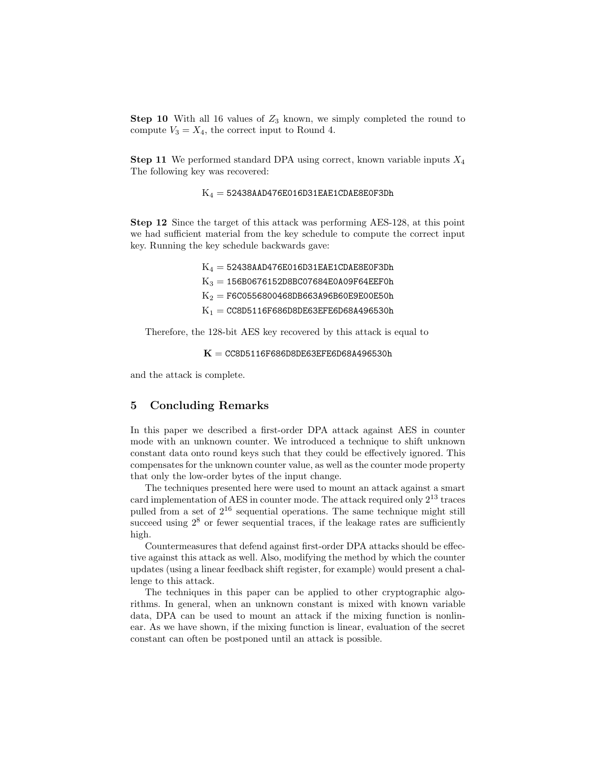**Step 10** With all 16 values of  $Z_3$  known, we simply completed the round to compute  $V_3 = X_4$ , the correct input to Round 4.

**Step 11** We performed standard DPA using correct, known variable inputs  $X_4$ The following key was recovered:

 $K_4 = 52438AAD476E016D31EAE1CDAE8E0F3Dh$ 

Step 12 Since the target of this attack was performing AES-128, at this point we had sufficient material from the key schedule to compute the correct input key. Running the key schedule backwards gave:

> $K_4 = 52438AAD476E016D31EAE1CDAE8E0F3Dh$  $\mathrm{K}_3 = 156$ B0676152D8BC07684E0A09F64EEF0h  $K_2 =$  F6C0556800468DB663A96B60E9E00E50h  $\mathbf{K}_1 = \texttt{CC8D5116F686D8DE63EFE6D68A496530h}$

Therefore, the 128-bit AES key recovered by this attack is equal to

 $K =$  CC8D5116F686D8DE63EFE6D68A496530h

and the attack is complete.

## 5 Concluding Remarks

In this paper we described a first-order DPA attack against AES in counter mode with an unknown counter. We introduced a technique to shift unknown constant data onto round keys such that they could be effectively ignored. This compensates for the unknown counter value, as well as the counter mode property that only the low-order bytes of the input change.

The techniques presented here were used to mount an attack against a smart card implementation of AES in counter mode. The attack required only  $2^{13}$  traces pulled from a set of  $2^{16}$  sequential operations. The same technique might still succeed using  $2<sup>8</sup>$  or fewer sequential traces, if the leakage rates are sufficiently high.

Countermeasures that defend against first-order DPA attacks should be effective against this attack as well. Also, modifying the method by which the counter updates (using a linear feedback shift register, for example) would present a challenge to this attack.

The techniques in this paper can be applied to other cryptographic algorithms. In general, when an unknown constant is mixed with known variable data, DPA can be used to mount an attack if the mixing function is nonlinear. As we have shown, if the mixing function is linear, evaluation of the secret constant can often be postponed until an attack is possible.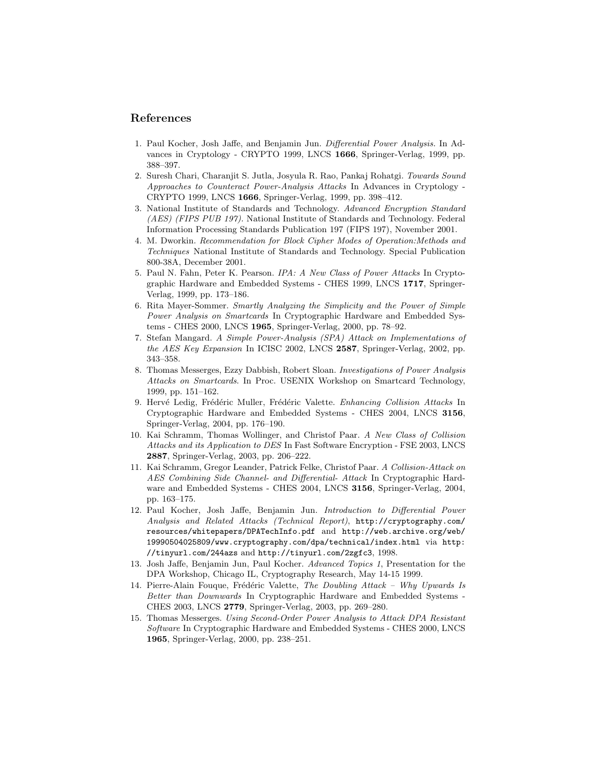## References

- 1. Paul Kocher, Josh Jaffe, and Benjamin Jun. Differential Power Analysis. In Advances in Cryptology - CRYPTO 1999, LNCS 1666, Springer-Verlag, 1999, pp. 388–397.
- 2. Suresh Chari, Charanjit S. Jutla, Josyula R. Rao, Pankaj Rohatgi. Towards Sound Approaches to Counteract Power-Analysis Attacks In Advances in Cryptology - CRYPTO 1999, LNCS 1666, Springer-Verlag, 1999, pp. 398–412.
- 3. National Institute of Standards and Technology. Advanced Encryption Standard (AES) (FIPS PUB 197). National Institute of Standards and Technology. Federal Information Processing Standards Publication 197 (FIPS 197), November 2001.
- 4. M. Dworkin. Recommendation for Block Cipher Modes of Operation:Methods and Techniques National Institute of Standards and Technology. Special Publication 800-38A, December 2001.
- 5. Paul N. Fahn, Peter K. Pearson. IPA: A New Class of Power Attacks In Cryptographic Hardware and Embedded Systems - CHES 1999, LNCS 1717, Springer-Verlag, 1999, pp. 173–186.
- 6. Rita Mayer-Sommer. Smartly Analyzing the Simplicity and the Power of Simple Power Analysis on Smartcards In Cryptographic Hardware and Embedded Systems - CHES 2000, LNCS 1965, Springer-Verlag, 2000, pp. 78–92.
- 7. Stefan Mangard. A Simple Power-Analysis (SPA) Attack on Implementations of the AES Key Expansion In ICISC 2002, LNCS 2587, Springer-Verlag, 2002, pp. 343–358.
- 8. Thomas Messerges, Ezzy Dabbish, Robert Sloan. Investigations of Power Analysis Attacks on Smartcards. In Proc. USENIX Workshop on Smartcard Technology, 1999, pp. 151–162.
- 9. Hervé Ledig, Frédéric Muller, Frédéric Valette. Enhancing Collision Attacks In Cryptographic Hardware and Embedded Systems - CHES 2004, LNCS 3156, Springer-Verlag, 2004, pp. 176–190.
- 10. Kai Schramm, Thomas Wollinger, and Christof Paar. A New Class of Collision Attacks and its Application to DES In Fast Software Encryption - FSE 2003, LNCS 2887, Springer-Verlag, 2003, pp. 206–222.
- 11. Kai Schramm, Gregor Leander, Patrick Felke, Christof Paar. A Collision-Attack on AES Combining Side Channel- and Differential- Attack In Cryptographic Hardware and Embedded Systems - CHES 2004, LNCS 3156, Springer-Verlag, 2004, pp. 163–175.
- 12. Paul Kocher, Josh Jaffe, Benjamin Jun. Introduction to Differential Power Analysis and Related Attacks (Technical Report), http://cryptography.com/ resources/whitepapers/DPATechInfo.pdf and http://web.archive.org/web/ 19990504025809/www.cryptography.com/dpa/technical/index.html via http: //tinyurl.com/244azs and http://tinyurl.com/2zgfc3, 1998.
- 13. Josh Jaffe, Benjamin Jun, Paul Kocher. Advanced Topics 1, Presentation for the DPA Workshop, Chicago IL, Cryptography Research, May 14-15 1999.
- 14. Pierre-Alain Fouque, Frédéric Valette, The Doubling Attack Why Upwards Is Better than Downwards In Cryptographic Hardware and Embedded Systems - CHES 2003, LNCS 2779, Springer-Verlag, 2003, pp. 269–280.
- 15. Thomas Messerges. Using Second-Order Power Analysis to Attack DPA Resistant Software In Cryptographic Hardware and Embedded Systems - CHES 2000, LNCS 1965, Springer-Verlag, 2000, pp. 238–251.